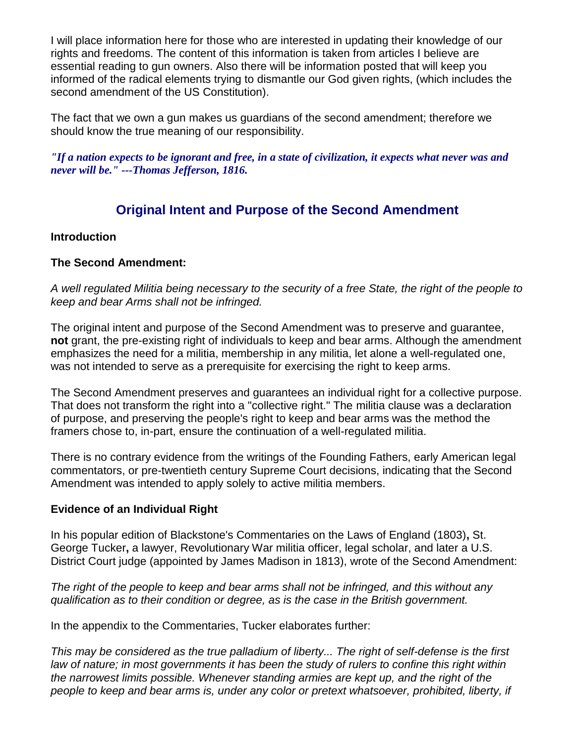I will place information here for those who are interested in updating their knowledge of our rights and freedoms. The content of this information is taken from articles I believe are essential reading to gun owners. Also there will be information posted that will keep you informed of the radical elements trying to dismantle our God given rights, (which includes the second amendment of the US Constitution).

The fact that we own a gun makes us guardians of the second amendment; therefore we should know the true meaning of our responsibility.

*"If a nation expects to be ignorant and free, in a state of civilization, it expects what never was and never will be." ---Thomas Jefferson, 1816.*

# **Original Intent and Purpose of the Second Amendment**

#### **Introduction**

## **The Second Amendment:**

*A well regulated Militia being necessary to the security of a free State, the right of the people to keep and bear Arms shall not be infringed.*

The original intent and purpose of the Second Amendment was to preserve and guarantee, **not** grant, the pre-existing right of individuals to keep and bear arms. Although the amendment emphasizes the need for a militia, membership in any militia, let alone a [well-regulated](http://www.guncite.com/gc2ndmea.html#wr) one, was not intended to serve as a prerequisite for exercising the right to keep arms.

The Second Amendment preserves and guarantees an individual right for a collective purpose. That does not transform the right into a "collective right." The militia clause was a declaration of purpose, and preserving the people's right to keep and bear arms was the method the framers chose to, in-part, ensure the continuation of a well-regulated militia.

There is [no contrary evidence](http://www.guncite.com/gc2ndcont.html) from the writings of the Founding Fathers, early American legal commentators, or pre-twentieth century Supreme Court decisions, indicating that the Second Amendment was intended to apply solely to active militia members.

## **Evidence of an Individual Right**

In his popular edition of [Blackstone's Commentaries on the Laws of England \(1803\)](http://www.constitution.org/tb/tb-0000.htm)**,** [St.](http://www.history.org/Almanack/people/bios/biotuck.cfm)  [George Tucker](http://www.history.org/Almanack/people/bios/biotuck.cfm)**,** a lawyer, Revolutionary War militia officer, legal scholar, and later a U.S. District Court judge (appointed by James Madison in 1813), wrote of the Second Amendment:

*The right of the people to keep and bear arms shall not be infringed, and this without any qualification as to their condition or degree, as is the case in the British government.*

In the [appendix](http://www.constitution.org/tb/t1d12000.htm) to the Commentaries, Tucker elaborates further:

*This may be considered as the true palladium of liberty... The right of self-defense is the first*  law of nature; in most governments it has been the study of rulers to confine this right within *the narrowest limits possible. Whenever standing armies are kept up, and the right of the people to keep and bear arms is, under any color or pretext whatsoever, prohibited, liberty, if*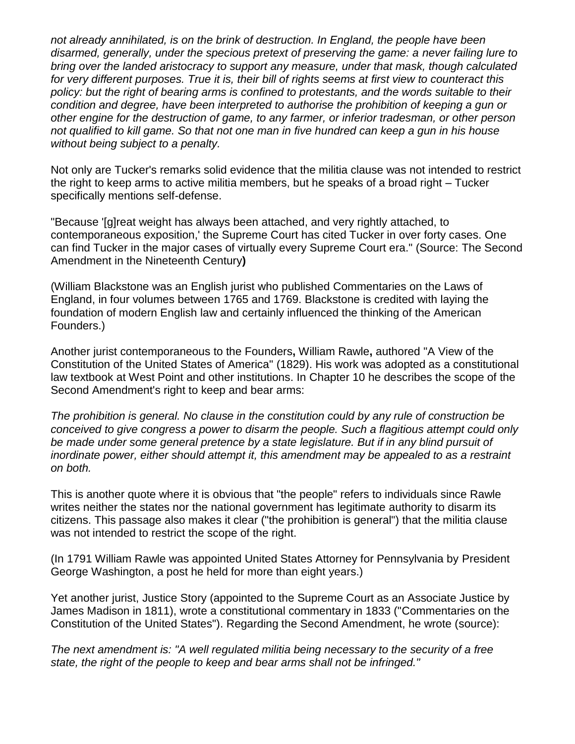*not already annihilated, is on the brink of destruction. In England, the people have been disarmed, generally, under the specious pretext of preserving the game: a never failing lure to bring over the landed aristocracy to support any measure, under that mask, though calculated for very different purposes. True it is, their bill of rights seems at first view to counteract this policy: but the right of bearing arms is confined to protestants, and the words suitable to their condition and degree, have been interpreted to authorise the prohibition of keeping a gun or other engine for the destruction of game, to any farmer, or inferior tradesman, or other person not qualified to kill game. So that not one man in five hundred can keep a gun in his house without being subject to a penalty.*

Not only are Tucker's remarks solid evidence that the militia clause was not intended to restrict the right to keep arms to active militia members, but he speaks of a broad right – Tucker specifically mentions self-defense.

"Because '[g]reat weight has always been attached, and very rightly attached, to contemporaneous exposition,' the Supreme Court has cited Tucker in over forty cases. One can find Tucker in the major cases of virtually every Supreme Court era." (Source: [The Second](http://www.davekopel.com/2A/LawRev/19thcentury.htm)  [Amendment in the Nineteenth Century](http://www.davekopel.com/2A/LawRev/19thcentury.htm)**)** 

(William Blackstone was an English jurist who published Commentaries on the Laws of England, in four volumes between 1765 and 1769. Blackstone is credited with laying the foundation of modern English law and certainly influenced the thinking of the American Founders.)

Another jurist contemporaneous to the Founders**,** [William Rawle](http://www.archives.upenn.edu/people/1700s/rawle_wm.html)**,** authored ["A View of the](http://www.constitution.org/wr/rawle-00.htm)  [Constitution of the United States of America"](http://www.constitution.org/wr/rawle-00.htm) (1829). His work was adopted as a constitutional law textbook at West Point and other institutions. In [Chapter 10](http://www.constitution.org/wr/rawle_10.htm) he describes the scope of the Second Amendment's right to keep and bear arms:

*The prohibition is general. No clause in the constitution could by any rule of construction be conceived to give congress a power to disarm the people. Such a flagitious attempt could only*  be made under some general pretence by a state legislature. But if in any blind pursuit of *inordinate power, either should attempt it, this amendment may be appealed to as a restraint on both.*

This is another quote where it is obvious that "the people" refers to individuals since Rawle writes neither the states nor the national government has legitimate authority to disarm its citizens. This passage also makes it clear ("the prohibition is general") that the militia clause was not intended to restrict the scope of the right.

(In 1791 William Rawle was appointed United States Attorney for Pennsylvania by President George Washington, a post he held for more than eight years.)

Yet another jurist, [Justice Story](http://www.law.umkc.edu/faculty/projects/ftrials/amistad/AMI_BSTO.HTM) (appointed to the Supreme Court as an Associate Justice by James Madison in 1811), wrote a constitutional commentary in 1833 (["Commentaries on the](http://www.constitution.org/js/js_000.htm)  [Constitution of the United States"\).](http://www.constitution.org/js/js_000.htm) Regarding the Second Amendment, he wrote [\(source\)](http://www.constitution.org/js/js_344.htm):

*The next amendment is: "A well regulated militia being necessary to the security of a free state, the right of the people to keep and bear arms shall not be infringed."*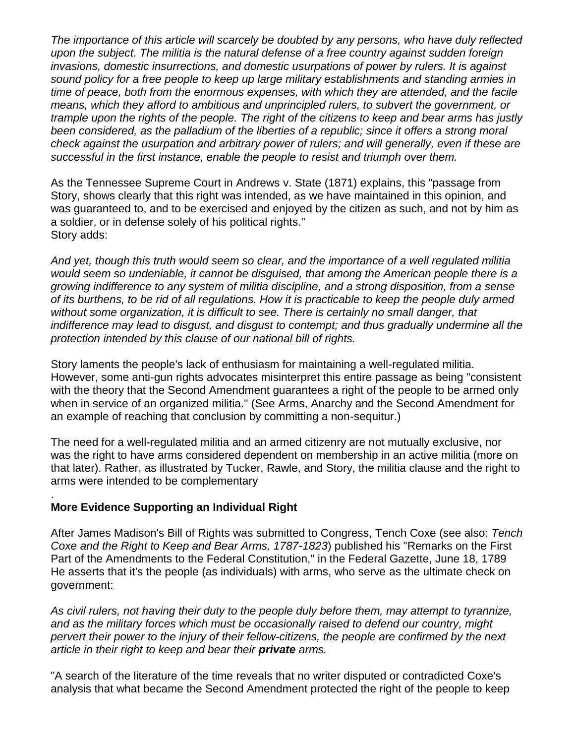*The importance of this article will scarcely be doubted by any persons, who have duly reflected upon the subject. The militia is the natural defense of a free country against sudden foreign invasions, domestic insurrections, and domestic usurpations of power by rulers. It is against sound policy for a free people to keep up large military establishments and standing armies in time of peace, both from the enormous expenses, with which they are attended, and the facile means, which they afford to ambitious and unprincipled rulers, to subvert the government, or trample upon the rights of the people. The right of the citizens to keep and bear arms has justly*  been considered, as the palladium of the liberties of a republic; since it offers a strong moral *check against the usurpation and arbitrary power of rulers; and will generally, even if these are successful in the first instance, enable the people to resist and triumph over them.*

As the Tennessee Supreme Court in [Andrews v. State](http://www.guncite.com/court/state/50tn165.html) (1871) explains, this "passage from Story, shows clearly that this right was intended, as we have maintained in this opinion, and was guaranteed to, and to be exercised and enjoyed by the citizen as such, and not by him as a soldier, or in defense solely of his political rights." Story adds:

*And yet, though this truth would seem so clear, and the importance of a well regulated militia would seem so undeniable, it cannot be disguised, that among the American people there is a growing indifference to any system of militia discipline, and a strong disposition, from a sense of its burthens, to be rid of all regulations. How it is practicable to keep the people duly armed*  without some organization, it is difficult to see. There is certainly no small danger, that *indifference may lead to disgust, and disgust to contempt; and thus gradually undermine all the protection intended by this clause of our national bill of rights.*

Story laments the people's lack of enthusiasm for maintaining a well-regulated militia. However, some anti-gun rights advocates misinterpret this entire passage as being "consistent with the theory that the Second Amendment guarantees a right of the people to be armed only when in service of an organized militia." (See [Arms, Anarchy and the Second Amendment](http://web.archive.org/web/20080212130913/http:/www.gunlawsuits.org/defend/second/articles/anarchy.php) for an example of reaching that conclusion by committing a non-sequitur.)

The need for a well-regulated militia and an armed citizenry are not mutually exclusive, nor was the right to have arms considered dependent on membership in an active militia (more on that later). Rather, as illustrated by Tucker, Rawle, and Story, the militia clause and the right to arms were intended to be complementary

#### . **More Evidence Supporting an Individual Right**

After James Madison's Bill of Rights was submitted to Congress, [Tench Coxe](http://en.wikipedia.org/wiki/Tench_Coxe) (see also: *[Tench](http://www.davekopel.com/2A/lawrev/hk-coxe.htm)  [Coxe and the Right to Keep and Bear Arms, 1787-1823](http://www.davekopel.com/2A/lawrev/hk-coxe.htm)*) published his "Remarks on the First Part of the Amendments to the Federal Constitution," in the Federal Gazette, June 18, 1789 He asserts that it's the people (as individuals) with arms, who serve as the ultimate check on government:

*As civil rulers, not having their duty to the people duly before them, may attempt to tyrannize, and as the military forces which must be occasionally raised to defend our country, might pervert their power to the injury of their fellow-citizens, the people are confirmed by the next article in their right to keep and bear their private arms.* 

"A search of the literature of the time reveals that no writer disputed or contradicted Coxe's analysis that what became the Second Amendment protected the right of the people to keep